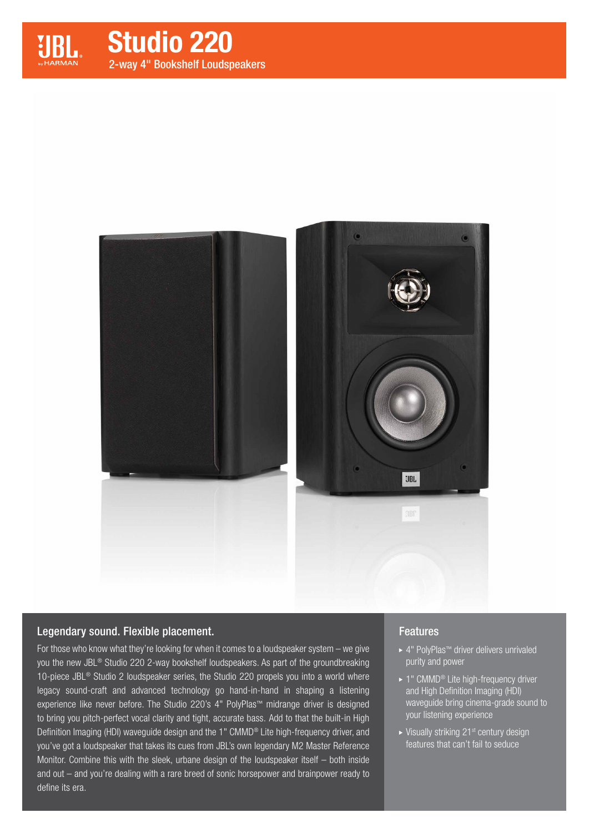

Studio 220 2-way 4" Bookshelf Loudspeakers



### Legendary sound. Flexible placement.

For those who know what they're looking for when it comes to a loudspeaker system – we give you the new JBL® Studio 220 2-way bookshelf loudspeakers. As part of the groundbreaking 10-piece JBL® Studio 2 loudspeaker series, the Studio 220 propels you into a world where legacy sound-craft and advanced technology go hand-in-hand in shaping a listening experience like never before. The Studio 220's 4" PolyPlas™ midrange driver is designed to bring you pitch-perfect vocal clarity and tight, accurate bass. Add to that the built-in High Definition Imaging (HDI) waveguide design and the 1" CMMD® Lite high-frequency driver, and you've got a loudspeaker that takes its cues from JBL's own legendary M2 Master Reference Monitor. Combine this with the sleek, urbane design of the loudspeaker itself – both inside and out – and you're dealing with a rare breed of sonic horsepower and brainpower ready to define its era.

### **Features**

- 4" PolyPlas™ driver delivers unrivaled purity and power
- ▶ 1" CMMD<sup>®</sup> Lite high-frequency driver and High Definition Imaging (HDI) waveguide bring cinema-grade sound to your listening experience
- $\blacktriangleright$  Visually striking 21<sup>st</sup> century design features that can't fail to seduce